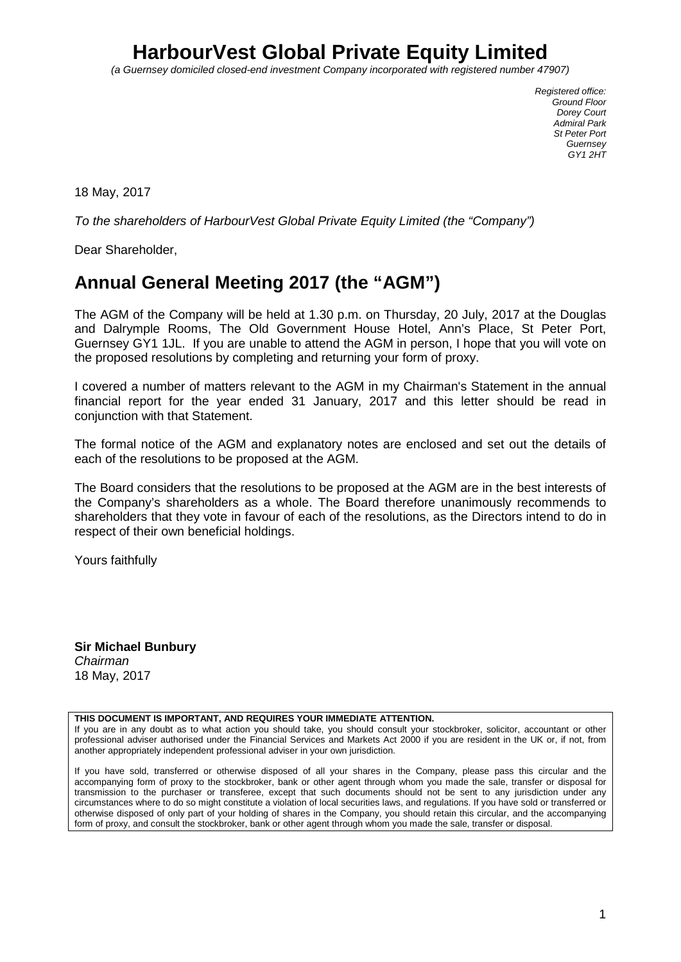# **HarbourVest Global Private Equity Limited**

*(a Guernsey domiciled closed-end investment Company incorporated with registered number 47907)*

*Registered office: Ground Floor Dorey Court Admiral Park St Peter Port Guernsey GY1 2HT*

18 May, 2017

*To the shareholders of HarbourVest Global Private Equity Limited (the "Company")*

Dear Shareholder,

# **Annual General Meeting 2017 (the "AGM")**

The AGM of the Company will be held at 1.30 p.m. on Thursday, 20 July, 2017 at the Douglas and Dalrymple Rooms, The Old Government House Hotel, Ann's Place, St Peter Port, Guernsey GY1 1JL. If you are unable to attend the AGM in person, I hope that you will vote on the proposed resolutions by completing and returning your form of proxy.

I covered a number of matters relevant to the AGM in my Chairman's Statement in the annual financial report for the year ended 31 January, 2017 and this letter should be read in conjunction with that Statement.

The formal notice of the AGM and explanatory notes are enclosed and set out the details of each of the resolutions to be proposed at the AGM.

The Board considers that the resolutions to be proposed at the AGM are in the best interests of the Company's shareholders as a whole. The Board therefore unanimously recommends to shareholders that they vote in favour of each of the resolutions, as the Directors intend to do in respect of their own beneficial holdings.

Yours faithfully

**Sir Michael Bunbury** *Chairman* 18 May, 2017

### **THIS DOCUMENT IS IMPORTANT, AND REQUIRES YOUR IMMEDIATE ATTENTION.**

If you are in any doubt as to what action you should take, you should consult your stockbroker, solicitor, accountant or other professional adviser authorised under the Financial Services and Markets Act 2000 if you are resident in the UK or, if not, from another appropriately independent professional adviser in your own jurisdiction.

If you have sold, transferred or otherwise disposed of all your shares in the Company, please pass this circular and the accompanying form of proxy to the stockbroker, bank or other agent through whom you made the sale, transfer or disposal for transmission to the purchaser or transferee, except that such documents should not be sent to any jurisdiction under any circumstances where to do so might constitute a violation of local securities laws, and regulations. If you have sold or transferred or otherwise disposed of only part of your holding of shares in the Company, you should retain this circular, and the accompanying form of proxy, and consult the stockbroker, bank or other agent through whom you made the sale, transfer or disposal.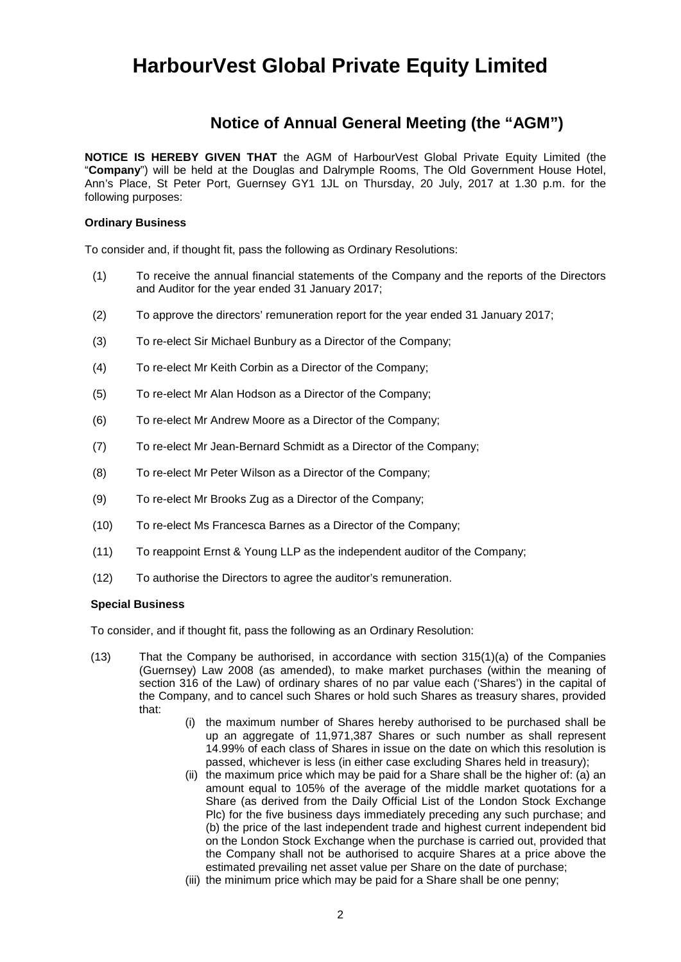# **HarbourVest Global Private Equity Limited**

## **Notice of Annual General Meeting (the "AGM")**

**NOTICE IS HEREBY GIVEN THAT** the AGM of HarbourVest Global Private Equity Limited (the "**Company**") will be held at the Douglas and Dalrymple Rooms, The Old Government House Hotel, Ann's Place, St Peter Port, Guernsey GY1 1JL on Thursday, 20 July, 2017 at 1.30 p.m. for the following purposes:

## **Ordinary Business**

To consider and, if thought fit, pass the following as Ordinary Resolutions:

- (1) To receive the annual financial statements of the Company and the reports of the Directors and Auditor for the year ended 31 January 2017;
- (2) To approve the directors' remuneration report for the year ended 31 January 2017;
- (3) To re-elect Sir Michael Bunbury as a Director of the Company;
- (4) To re-elect Mr Keith Corbin as a Director of the Company;
- (5) To re-elect Mr Alan Hodson as a Director of the Company;
- (6) To re-elect Mr Andrew Moore as a Director of the Company;
- (7) To re-elect Mr Jean-Bernard Schmidt as a Director of the Company;
- (8) To re-elect Mr Peter Wilson as a Director of the Company;
- (9) To re-elect Mr Brooks Zug as a Director of the Company;
- (10) To re-elect Ms Francesca Barnes as a Director of the Company;
- (11) To reappoint Ernst & Young LLP as the independent auditor of the Company;
- (12) To authorise the Directors to agree the auditor's remuneration.

## **Special Business**

To consider, and if thought fit, pass the following as an Ordinary Resolution:

- (13) That the Company be authorised, in accordance with section 315(1)(a) of the Companies (Guernsey) Law 2008 (as amended), to make market purchases (within the meaning of section 316 of the Law) of ordinary shares of no par value each ('Shares') in the capital of the Company, and to cancel such Shares or hold such Shares as treasury shares, provided that:
	- (i) the maximum number of Shares hereby authorised to be purchased shall be up an aggregate of 11,971,387 Shares or such number as shall represent 14.99% of each class of Shares in issue on the date on which this resolution is passed, whichever is less (in either case excluding Shares held in treasury);
	- (ii) the maximum price which may be paid for a Share shall be the higher of: (a) an amount equal to 105% of the average of the middle market quotations for a Share (as derived from the Daily Official List of the London Stock Exchange Plc) for the five business days immediately preceding any such purchase; and (b) the price of the last independent trade and highest current independent bid on the London Stock Exchange when the purchase is carried out, provided that the Company shall not be authorised to acquire Shares at a price above the estimated prevailing net asset value per Share on the date of purchase;
	- (iii) the minimum price which may be paid for a Share shall be one penny;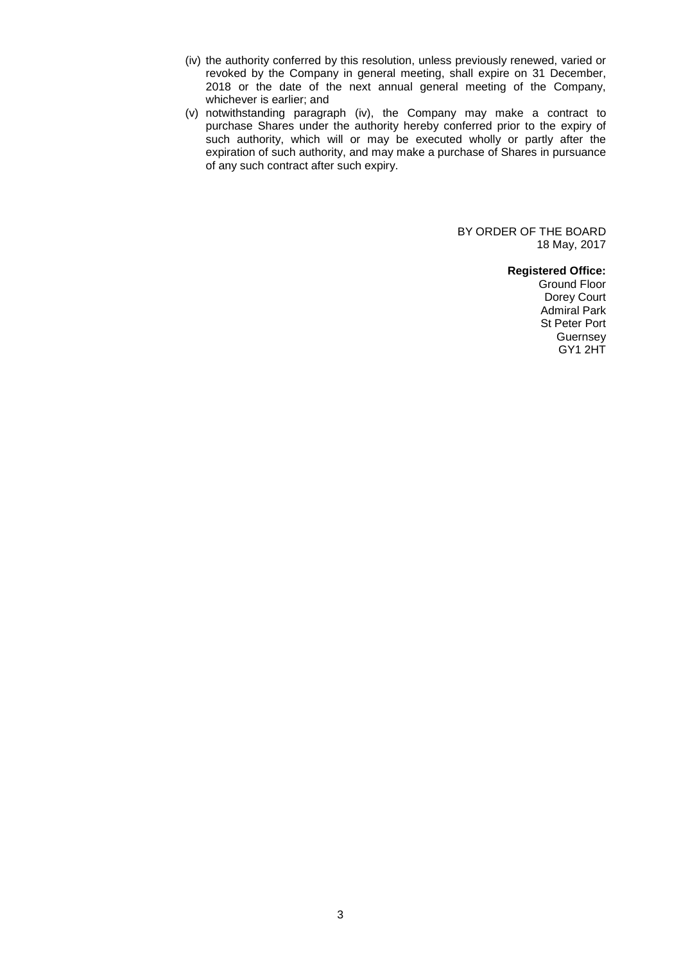- (iv) the authority conferred by this resolution, unless previously renewed, varied or revoked by the Company in general meeting, shall expire on 31 December, 2018 or the date of the next annual general meeting of the Company, whichever is earlier; and
- (v) notwithstanding paragraph (iv), the Company may make a contract to purchase Shares under the authority hereby conferred prior to the expiry of such authority, which will or may be executed wholly or partly after the expiration of such authority, and may make a purchase of Shares in pursuance of any such contract after such expiry.

BY ORDER OF THE BOARD 18 May, 2017

**Registered Office:**

Ground Floor Dorey Court Admiral Park St Peter Port **Guernsey** GY1 2HT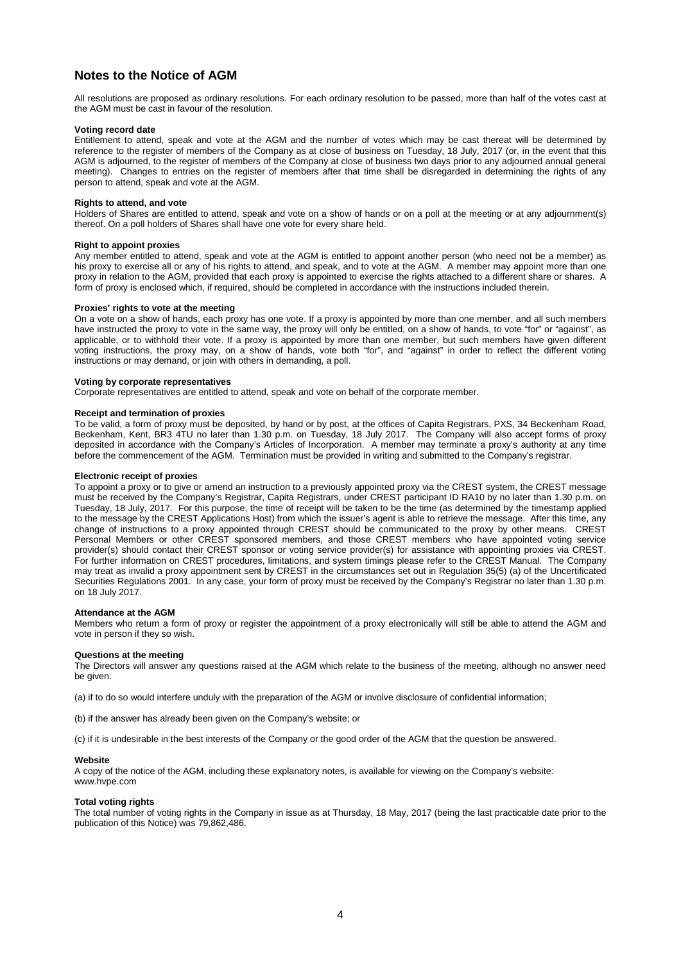## **Notes to the Notice of AGM**

All resolutions are proposed as ordinary resolutions. For each ordinary resolution to be passed, more than half of the votes cast at the AGM must be cast in favour of the resolution.

#### **Voting record date**

Entitlement to attend, speak and vote at the AGM and the number of votes which may be cast thereat will be determined by reference to the register of members of the Company as at close of business on Tuesday, 18 July, 2017 (or, in the event that this AGM is adjourned, to the register of members of the Company at close of business two days prior to any adjourned annual general meeting). Changes to entries on the register of members after that time shall be disregarded in determining the rights of any person to attend, speak and vote at the AGM.

#### **Rights to attend, and vote**

Holders of Shares are entitled to attend, speak and vote on a show of hands or on a poll at the meeting or at any adjournment(s) thereof. On a poll holders of Shares shall have one vote for every share held.

#### **Right to appoint proxies**

Any member entitled to attend, speak and vote at the AGM is entitled to appoint another person (who need not be a member) as his proxy to exercise all or any of his rights to attend, and speak, and to vote at the AGM. A member may appoint more than one proxy in relation to the AGM, provided that each proxy is appointed to exercise the rights attached to a different share or shares. A form of proxy is enclosed which, if required, should be completed in accordance with the instructions included therein.

#### **Proxies' rights to vote at the meeting**

On a vote on a show of hands, each proxy has one vote. If a proxy is appointed by more than one member, and all such members have instructed the proxy to vote in the same way, the proxy will only be entitled, on a show of hands, to vote "for" or "against", as applicable, or to withhold their vote. If a proxy is appointed by more than one member, but such members have given different voting instructions, the proxy may, on a show of hands, vote both "for", and "against" in order to reflect the different voting instructions or may demand, or join with others in demanding, a poll.

### **Voting by corporate representatives**

Corporate representatives are entitled to attend, speak and vote on behalf of the corporate member.

#### **Receipt and termination of proxies**

To be valid, a form of proxy must be deposited, by hand or by post, at the offices of Capita Registrars, PXS, 34 Beckenham Road, Beckenham, Kent, BR3 4TU no later than 1.30 p.m. on Tuesday, 18 July 2017. The Company will also accept forms of proxy deposited in accordance with the Company's Articles of Incorporation. A member may terminate a proxy's authority at any time before the commencement of the AGM. Termination must be provided in writing and submitted to the Company's registrar.

#### **Electronic receipt of proxies**

To appoint a proxy or to give or amend an instruction to a previously appointed proxy via the CREST system, the CREST message must be received by the Company's Registrar, Capita Registrars, under CREST participant ID RA10 by no later than 1.30 p.m. on Tuesday, 18 July, 2017. For this purpose, the time of receipt will be taken to be the time (as determined by the timestamp applied to the message by the CREST Applications Host) from which the issuer's agent is able to retrieve the message. After this time, any change of instructions to a proxy appointed through CREST should be communicated to the proxy by other means. CREST Personal Members or other CREST sponsored members, and those CREST members who have appointed voting service provider(s) should contact their CREST sponsor or voting service provider(s) for assistance with appointing proxies via CREST. For further information on CREST procedures, limitations, and system timings please refer to the CREST Manual. The Company may treat as invalid a proxy appointment sent by CREST in the circumstances set out in Regulation 35(5) (a) of the Uncertificated Securities Regulations 2001. In any case, your form of proxy must be received by the Company's Registrar no later than 1.30 p.m. on 18 July 2017.

#### **Attendance at the AGM**

Members who return a form of proxy or register the appointment of a proxy electronically will still be able to attend the AGM and vote in person if they so wish.

#### **Questions at the meeting**

The Directors will answer any questions raised at the AGM which relate to the business of the meeting, although no answer need be given:

- (a) if to do so would interfere unduly with the preparation of the AGM or involve disclosure of confidential information;
- (b) if the answer has already been given on the Company's website; or

(c) if it is undesirable in the best interests of the Company or the good order of the AGM that the question be answered.

#### **Website**

A copy of the notice of the AGM, including these explanatory notes, is available for viewing on the Company's website: www.hvpe.com

#### **Total voting rights**

The total number of voting rights in the Company in issue as at Thursday, 18 May, 2017 (being the last practicable date prior to the publication of this Notice) was 79,862,486.